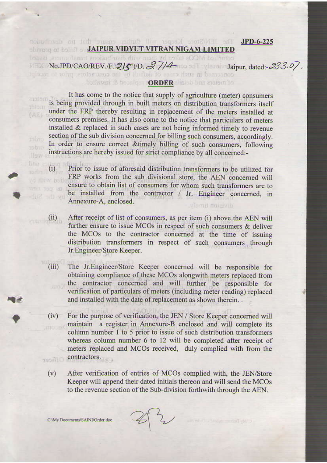## The TEVStore Keeper will further casere that no distribution **JPD-6-225 JAIPUR VIDYUT VITRAN NIGAM LIMITED**

commised MCOs taken by them with distributions transformers, issued No.JPD/CAO/REV./F.\215 )/D.  $37/4$  Jaipur, dated: -23.3.07. concerned in such cases of definit by the coursedors, prior to receipt

## botherni & headless **ORDER** dialob bas appendix

It has come to the notice that supply of agriculture (meter) consumers is being provided through in built meters on distribution transformers itself under the FRP thereby resulting in replacement of the meters installed at consumers premises. It has also come to the notice that particulars of meters installed & replaced in such cases are not being informed timely to revenue section of the sub division concerned for billing such consumers, accordingly. In order to ensure correct & timely billing of such consumers, following instructions are hereby issued for strict compliance by all concerned:-

Prior to issue of aforesaid distribution transformers to be utilized for FRP works from the sub divisional store, the AEN concerned will /d-rillw boile ensure to obtain list of consumers for whom such transformers are to be installed from the contractor / Jr. Engineer concerned, in d. 2 - d vo Annexure-A, enclosed. viemil nousivib

- $(ii)$ After receipt of list of consumers, as per item (i) above the AEN will further ensure to issue MCOs in respect of such consumers & deliver the MCOs to the contractor concerned at the time of issuing distribution transformers in respect of such consumers through Jr.Engineer/Store Keeper.
	- $(iii)$ The Jr.Engineer/Store Keeper concerned will be responsible for obtaining compliance of these MCOs alongwith meters replaced from the contractor concerned and will further be responsible for verification of particulars of meters (including meter reading) replaced and installed with the date of replacement as shown therein...
	- $(iv)$ For the purpose of verification, the JEN / Store Keeper concerned will maintain a register in Annexure-B enclosed and will complete its column number 1 to 5 prior to issue of such distribution transformers whereas column number 6 to 12 will be completed after receipt of meters replaced and MCOs received, duly complied with from the contractors. **Officer** 
		- $(v)$ After verification of entries of MCOs complied with, the JEN/Store Keeper will append their dated initials thereon and will send the MCOs to the revenue section of the Sub-division forthwith through the AEN.

 $42$ 

C:\My Documents\SAINI\Order.doc

519393

**filiom** 

 $(AE)$ 

Havy

**Brie** 

 $(i)$ 

as toor new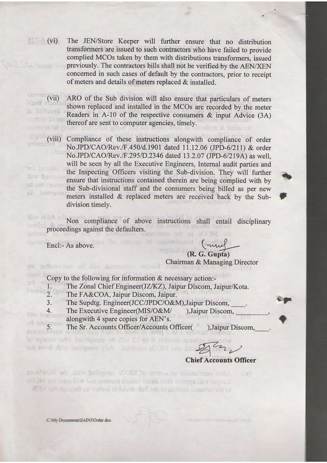$\circ$  (vi) The JEN/Store Keeper will further ensure that no distribution transformers are issued to such contractors who have failed to provide complied MCOs taken by them with distributions transformers, issued a-fashab previously. The contractors bills shall not be verified by the AEN/XEN concerned in such cases of default by the contractors, prior to receipt of meters and details of meters replaced & installed.

ARO of the Sub division will also ensure that particulars of meters shown replaced and installed in the MCOs are recorded by the meter Readers in A-10 of the respective consumers & input Advice (3A) **Eastbarr to ST** thereof are sent to computer agencies, timely.

 $(viii)$ Compliance of these instructions alongwith compliance of order No.JPD/CAO/Rev./F.450/d.1901 dated 11.12.06 (JPD-6/211) & order No.JPD/CAO/Rev./F.295/D.2346 dated 13.2.07 (JPD-6/219A) as well, will be seen by all the Executive Engineers, Internal audit parties and uni box fine the Inspecting Officers visiting the Sub-division. They will further live Barra ensure that instructions contained therein are being complied with by of out another the Sub-divisional staff and the consumers being billed as per new Болтоал meters installed & replaced meters are received back by the Subdivision timely.

**Iliv VIIIA** on Non compliance of above instructions shall entail disciplinary proceedings against the defaulters.

Encl:- As above.

4.

to sidichartest ad livr parasamos

 $(vii)$ 

ta bellaterri

s itself

eniwol

(R. G. Gupta) Chairman & Managing Director

mul

Copy to the following for information & necessary action:-

1. The Zonal Chief Engineer(JZ/KZ), Jaipur Discom, Jaipur/Kota. **150110**  $\overline{2}$ 

The FA&COA, Jaipur Discom, Jaipur.

 $3.$ The Supdtg. Engineer(JCC/JPDC/O&M), Jaipur Discom,

The Executive Engineer(MIS/O&M/ ), Jaipur Discom, llivy bombon alongwith 4 spare copies for AEN's.

ali stolgmob<br>araunolenen d The Sr. Accounts Officer/Accounts Officer( ), Jaipur Discom,

na number 6 to 12 will be completed niter receipt of and mort dily ballqmaa vins havis an aCOM bas L 29 22

**Chief Accounts Officer** 

After verification of crimes of MCOs complied with, the HAMStore  $(1, 1)$ Keeper will appear that dated initials therein and will send the MCOs. to the revenue section of the Sub-divid-more further through the AIM.

C:\My Documents\SAINI\Order.doc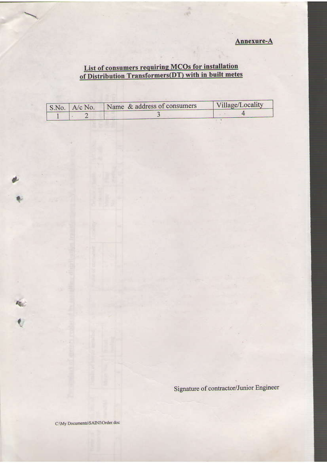Annexure-A

## List of consumers requiring MCOs for installation<br>of Distribution Transformers(DT) with in built metes

| $S.No.$ A/c No. | Name & address of consumers | Village/Locality |
|-----------------|-----------------------------|------------------|
|                 |                             |                  |

Signature of contractor/Junior Engineer